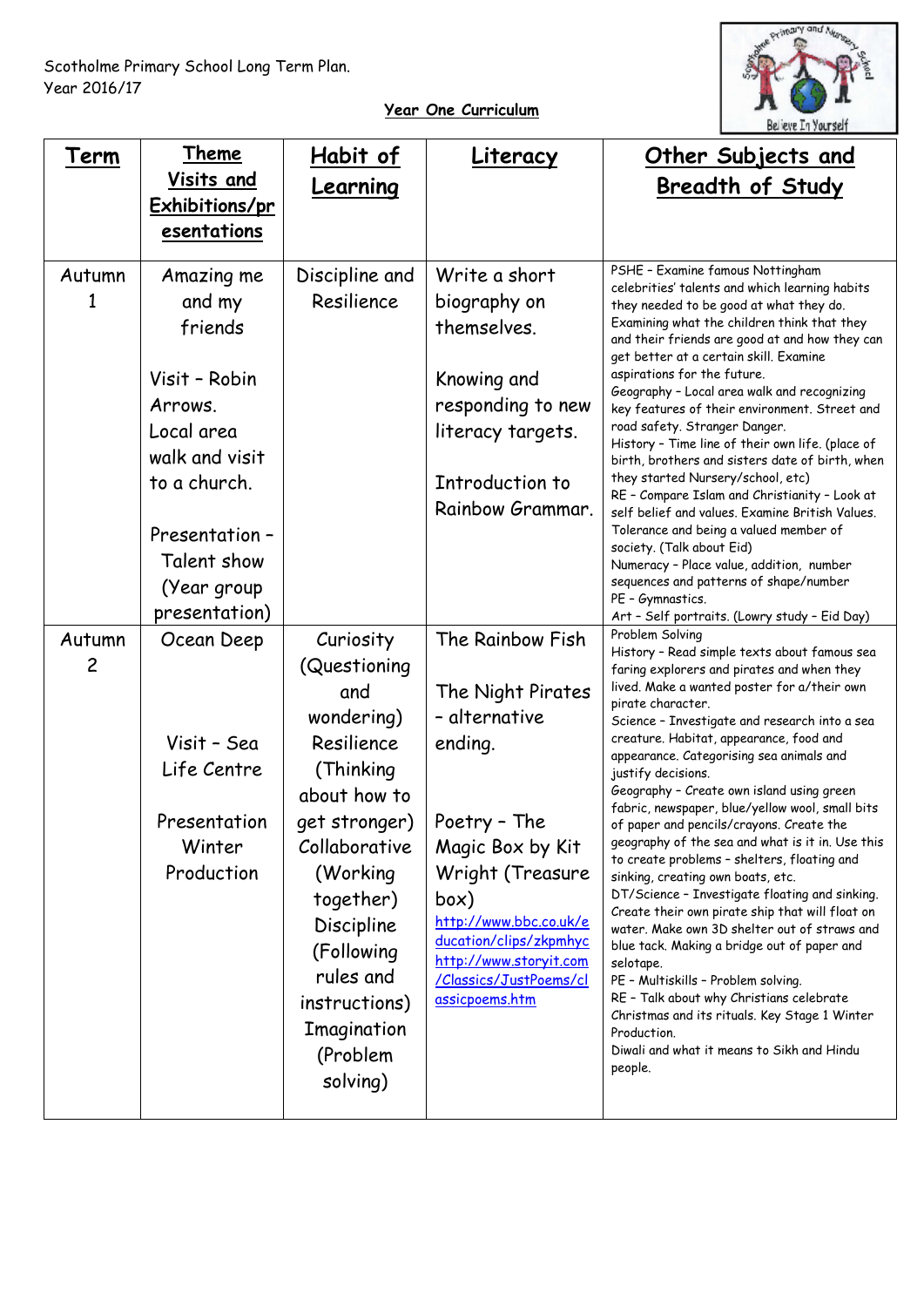

## **Year One Curriculum**

| Term           | Theme                                | Habit of                 | Literacy                                         | <u>Other Subjects and</u>                                                                                                               |
|----------------|--------------------------------------|--------------------------|--------------------------------------------------|-----------------------------------------------------------------------------------------------------------------------------------------|
|                | Visits and                           | Learning                 |                                                  | <b>Breadth of Study</b>                                                                                                                 |
|                | <b>Exhibitions/pr</b><br>esentations |                          |                                                  |                                                                                                                                         |
|                |                                      |                          |                                                  |                                                                                                                                         |
| Autumn         | Amazing me                           | Discipline and           | Write a short                                    | PSHE - Examine famous Nottingham<br>celebrities' talents and which learning habits                                                      |
| 1              | and my                               | Resilience               | biography on                                     | they needed to be good at what they do.                                                                                                 |
|                | friends                              |                          | themselves.                                      | Examining what the children think that they<br>and their friends are good at and how they can<br>get better at a certain skill. Examine |
|                | Visit - Robin                        |                          | Knowing and                                      | aspirations for the future.                                                                                                             |
|                | Arrows.                              |                          | responding to new                                | Geography - Local area walk and recognizing<br>key features of their environment. Street and                                            |
|                | Local area                           |                          | literacy targets.                                | road safety. Stranger Danger.<br>History - Time line of their own life. (place of                                                       |
|                | walk and visit                       |                          |                                                  | birth, brothers and sisters date of birth, when                                                                                         |
|                | to a church.                         |                          | Introduction to                                  | they started Nursery/school, etc)<br>RE - Compare Islam and Christianity - Look at                                                      |
|                |                                      |                          | Rainbow Grammar.                                 | self belief and values. Examine British Values.                                                                                         |
|                | Presentation -                       |                          |                                                  | Tolerance and being a valued member of<br>society. (Talk about Eid)                                                                     |
|                | Talent show                          |                          |                                                  | Numeracy - Place value, addition, number<br>sequences and patterns of shape/number                                                      |
|                | (Year group<br>presentation)         |                          |                                                  | PE - Gymnastics.                                                                                                                        |
| Autumn         | Ocean Deep                           | Curiosity                | The Rainbow Fish                                 | Art - Self portraits. (Lowry study - Eid Day)<br>Problem Solving                                                                        |
| $\overline{c}$ |                                      | (Questioning             |                                                  | History - Read simple texts about famous sea<br>faring explorers and pirates and when they                                              |
|                |                                      | and                      | The Night Pirates                                | lived. Make a wanted poster for a/their own                                                                                             |
|                |                                      | wondering)               | - alternative                                    | pirate character.<br>Science - Investigate and research into a sea                                                                      |
|                | Visit - Sea                          | Resilience               | ending.                                          | creature. Habitat, appearance, food and<br>appearance. Categorising sea animals and                                                     |
|                | Life Centre                          | (Thinking                |                                                  | justify decisions.                                                                                                                      |
|                |                                      | about how to             |                                                  | Geography - Create own island using green<br>fabric, newspaper, blue/yellow wool, small bits                                            |
|                | Presentation                         | get stronger)            | Poetry - The                                     | of paper and pencils/crayons. Create the                                                                                                |
|                | Winter                               | Collaborative            | Magic Box by Kit                                 | geography of the sea and what is it in. Use this<br>to create problems - shelters, floating and                                         |
|                | Production                           | (Working                 | Wright (Treasure                                 | sinking, creating own boats, etc.<br>DT/Science - Investigate floating and sinking.                                                     |
|                |                                      | together)                | box)<br>http://www.bbc.co.uk/e                   | Create their own pirate ship that will float on                                                                                         |
|                |                                      | Discipline<br>(Following | ducation/clips/zkpmhyc                           | water. Make own 3D shelter out of straws and<br>blue tack. Making a bridge out of paper and                                             |
|                |                                      | rules and                | http://www.storyit.com<br>/Classics/JustPoems/cl | selotape.<br>PE - Multiskills - Problem solving.                                                                                        |
|                |                                      | instructions)            | assicpoems.htm                                   | RE - Talk about why Christians celebrate                                                                                                |
|                |                                      | Imagination              |                                                  | Christmas and its rituals. Key Stage 1 Winter<br>Production.                                                                            |
|                |                                      | (Problem                 |                                                  | Diwali and what it means to Sikh and Hindu                                                                                              |
|                |                                      | solving)                 |                                                  | people.                                                                                                                                 |
|                |                                      |                          |                                                  |                                                                                                                                         |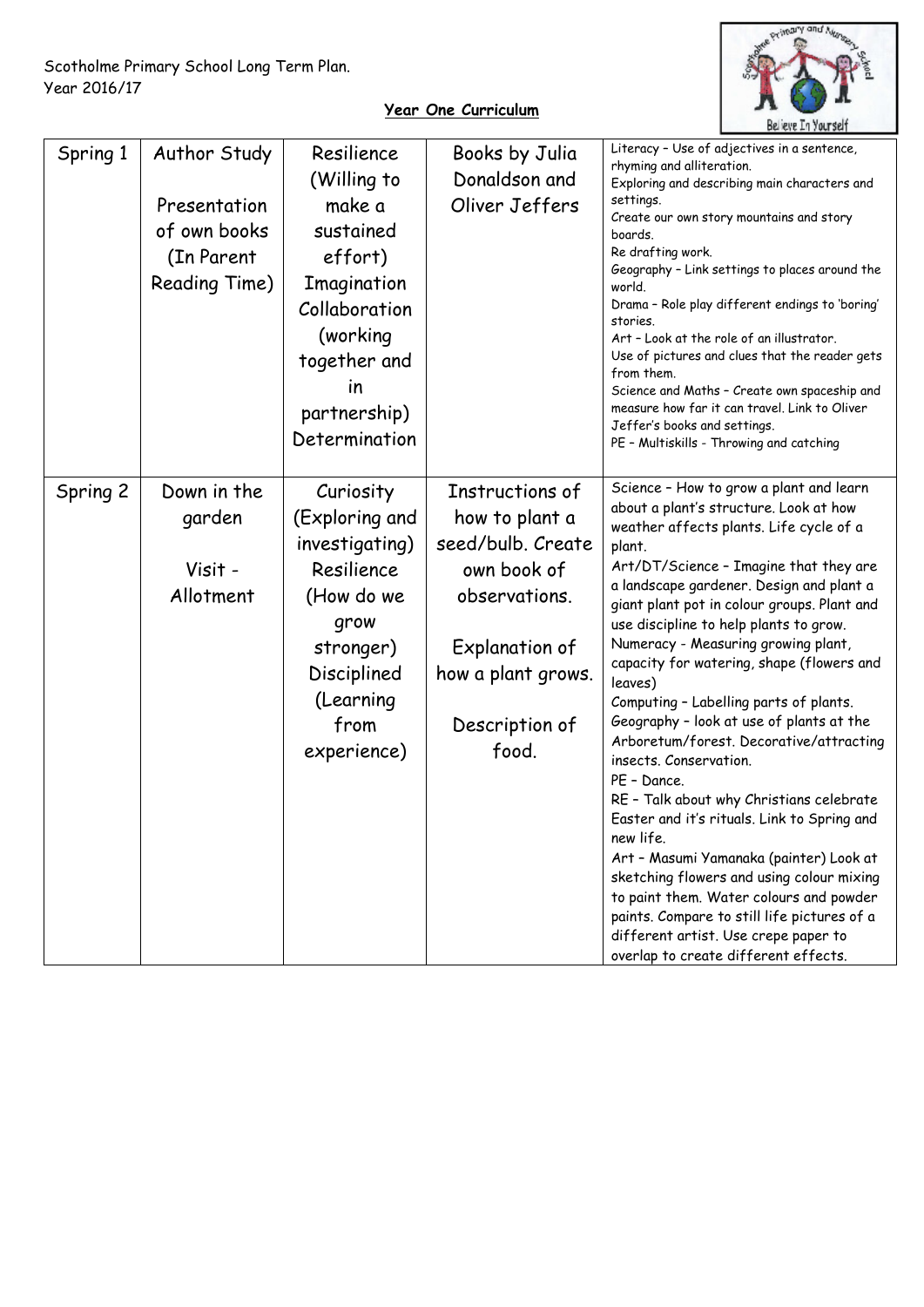

## **Year One Curriculum**

| Spring 1 | Author Study<br>Presentation<br>of own books<br>(In Parent<br>Reading Time) | Resilience<br>(Willing to<br>make a<br>sustained<br>effort)<br>Imagination<br>Collaboration<br>(working<br>together and<br>in<br>partnership)<br>Determination | Books by Julia<br>Donaldson and<br>Oliver Jeffers                                                                                                         | Literacy - Use of adjectives in a sentence,<br>rhyming and alliteration.<br>Exploring and describing main characters and<br>settings.<br>Create our own story mountains and story<br>boards.<br>Re drafting work.<br>Geography - Link settings to places around the<br>world.<br>Drama - Role play different endings to 'boring'<br>stories.<br>Art - Look at the role of an illustrator.<br>Use of pictures and clues that the reader gets<br>from them.<br>Science and Maths - Create own spaceship and<br>measure how far it can travel. Link to Oliver<br>Jeffer's books and settings.<br>PE - Multiskills - Throwing and catching                                                                                                                                                                                                                                                                                                                                   |
|----------|-----------------------------------------------------------------------------|----------------------------------------------------------------------------------------------------------------------------------------------------------------|-----------------------------------------------------------------------------------------------------------------------------------------------------------|--------------------------------------------------------------------------------------------------------------------------------------------------------------------------------------------------------------------------------------------------------------------------------------------------------------------------------------------------------------------------------------------------------------------------------------------------------------------------------------------------------------------------------------------------------------------------------------------------------------------------------------------------------------------------------------------------------------------------------------------------------------------------------------------------------------------------------------------------------------------------------------------------------------------------------------------------------------------------|
| Spring 2 | Down in the<br>garden<br>Visit -<br>Allotment                               | Curiosity<br>(Exploring and<br>investigating)<br>Resilience<br>(How do we<br>grow<br>stronger)<br>Disciplined<br>(Learning<br>from<br>experience)              | Instructions of<br>how to plant a<br>seed/bulb. Create<br>own book of<br>observations.<br>Explanation of<br>how a plant grows.<br>Description of<br>food. | Science - How to grow a plant and learn<br>about a plant's structure. Look at how<br>weather affects plants. Life cycle of a<br>plant.<br>Art/DT/Science - Imagine that they are<br>a landscape gardener. Design and plant a<br>giant plant pot in colour groups. Plant and<br>use discipline to help plants to grow.<br>Numeracy - Measuring growing plant,<br>capacity for watering, shape (flowers and<br>leaves)<br>Computing - Labelling parts of plants.<br>Geography - look at use of plants at the<br>Arboretum/forest. Decorative/attracting<br>insects. Conservation.<br>PE - Dance.<br>RE - Talk about why Christians celebrate<br>Easter and it's rituals. Link to Spring and<br>new life.<br>Art - Masumi Yamanaka (painter) Look at<br>sketching flowers and using colour mixing<br>to paint them. Water colours and powder<br>paints. Compare to still life pictures of a<br>different artist. Use crepe paper to<br>overlap to create different effects. |